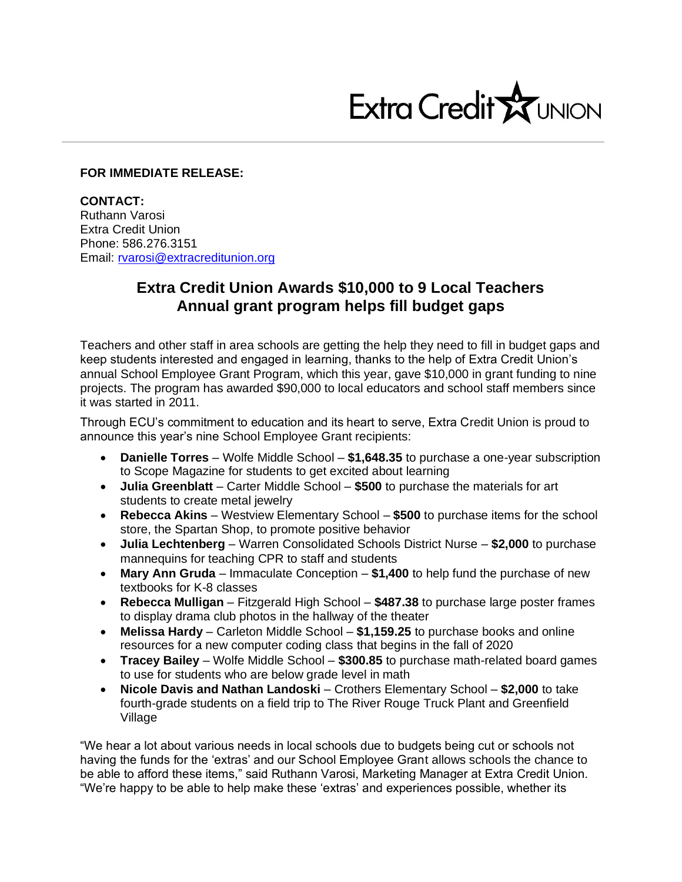

## **FOR IMMEDIATE RELEASE:**

**CONTACT:** Ruthann Varosi Extra Credit Union Phone: 586.276.3151 Email: [rvarosi@extracreditunion.org](mailto:rvarosi@extracreditunion.org)

## **Extra Credit Union Awards \$10,000 to 9 Local Teachers Annual grant program helps fill budget gaps**

Teachers and other staff in area schools are getting the help they need to fill in budget gaps and keep students interested and engaged in learning, thanks to the help of Extra Credit Union's annual School Employee Grant Program, which this year, gave \$10,000 in grant funding to nine projects. The program has awarded \$90,000 to local educators and school staff members since it was started in 2011.

Through ECU's commitment to education and its heart to serve, Extra Credit Union is proud to announce this year's nine School Employee Grant recipients:

- **Danielle Torres** Wolfe Middle School **\$1,648.35** to purchase a one-year subscription to Scope Magazine for students to get excited about learning
- **Julia Greenblatt** Carter Middle School **\$500** to purchase the materials for art students to create metal jewelry
- **Rebecca Akins** Westview Elementary School **\$500** to purchase items for the school store, the Spartan Shop, to promote positive behavior
- **Julia Lechtenberg** Warren Consolidated Schools District Nurse **\$2,000** to purchase mannequins for teaching CPR to staff and students
- **Mary Ann Gruda** Immaculate Conception **\$1,400** to help fund the purchase of new textbooks for K-8 classes
- **Rebecca Mulligan** Fitzgerald High School **\$487.38** to purchase large poster frames to display drama club photos in the hallway of the theater
- **Melissa Hardy** Carleton Middle School **\$1,159.25** to purchase books and online resources for a new computer coding class that begins in the fall of 2020
- **Tracey Bailey** Wolfe Middle School **\$300.85** to purchase math-related board games to use for students who are below grade level in math
- **Nicole Davis and Nathan Landoski** Crothers Elementary School **\$2,000** to take fourth-grade students on a field trip to The River Rouge Truck Plant and Greenfield Village

"We hear a lot about various needs in local schools due to budgets being cut or schools not having the funds for the 'extras' and our School Employee Grant allows schools the chance to be able to afford these items," said Ruthann Varosi, Marketing Manager at Extra Credit Union. "We're happy to be able to help make these 'extras' and experiences possible, whether its